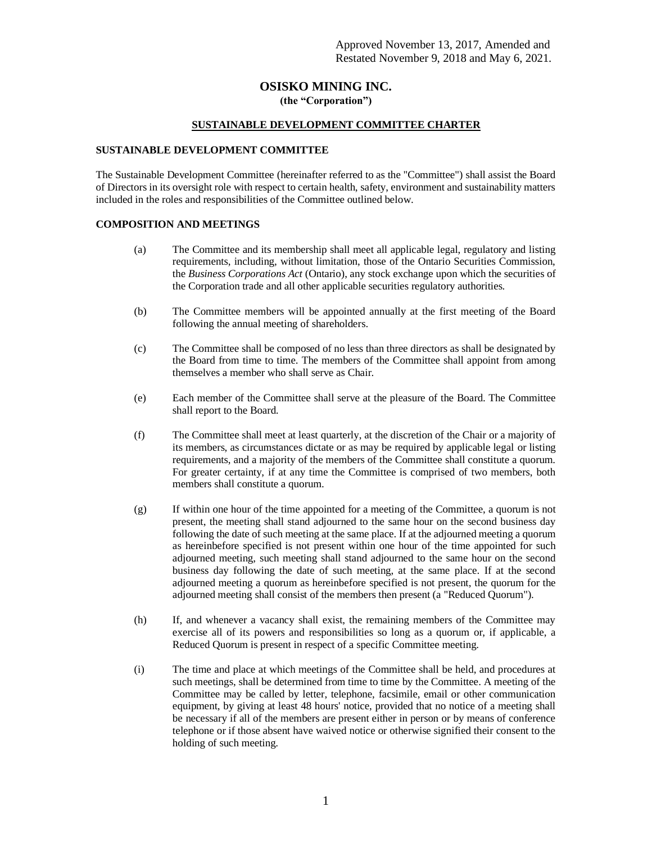# **OSISKO MINING INC. (the "Corporation")**

# **SUSTAINABLE DEVELOPMENT COMMITTEE CHARTER**

# **SUSTAINABLE DEVELOPMENT COMMITTEE**

The Sustainable Development Committee (hereinafter referred to as the "Committee") shall assist the Board of Directors in its oversight role with respect to certain health, safety, environment and sustainability matters included in the roles and responsibilities of the Committee outlined below.

# **COMPOSITION AND MEETINGS**

- (a) The Committee and its membership shall meet all applicable legal, regulatory and listing requirements, including, without limitation, those of the Ontario Securities Commission, the *Business Corporations Act* (Ontario), any stock exchange upon which the securities of the Corporation trade and all other applicable securities regulatory authorities.
- (b) The Committee members will be appointed annually at the first meeting of the Board following the annual meeting of shareholders.
- (c) The Committee shall be composed of no less than three directors as shall be designated by the Board from time to time. The members of the Committee shall appoint from among themselves a member who shall serve as Chair.
- (e) Each member of the Committee shall serve at the pleasure of the Board. The Committee shall report to the Board.
- (f) The Committee shall meet at least quarterly, at the discretion of the Chair or a majority of its members, as circumstances dictate or as may be required by applicable legal or listing requirements, and a majority of the members of the Committee shall constitute a quorum. For greater certainty, if at any time the Committee is comprised of two members, both members shall constitute a quorum.
- (g) If within one hour of the time appointed for a meeting of the Committee, a quorum is not present, the meeting shall stand adjourned to the same hour on the second business day following the date of such meeting at the same place. If at the adjourned meeting a quorum as hereinbefore specified is not present within one hour of the time appointed for such adjourned meeting, such meeting shall stand adjourned to the same hour on the second business day following the date of such meeting, at the same place. If at the second adjourned meeting a quorum as hereinbefore specified is not present, the quorum for the adjourned meeting shall consist of the members then present (a "Reduced Quorum").
- (h) If, and whenever a vacancy shall exist, the remaining members of the Committee may exercise all of its powers and responsibilities so long as a quorum or, if applicable, a Reduced Quorum is present in respect of a specific Committee meeting.
- (i) The time and place at which meetings of the Committee shall be held, and procedures at such meetings, shall be determined from time to time by the Committee. A meeting of the Committee may be called by letter, telephone, facsimile, email or other communication equipment, by giving at least 48 hours' notice, provided that no notice of a meeting shall be necessary if all of the members are present either in person or by means of conference telephone or if those absent have waived notice or otherwise signified their consent to the holding of such meeting.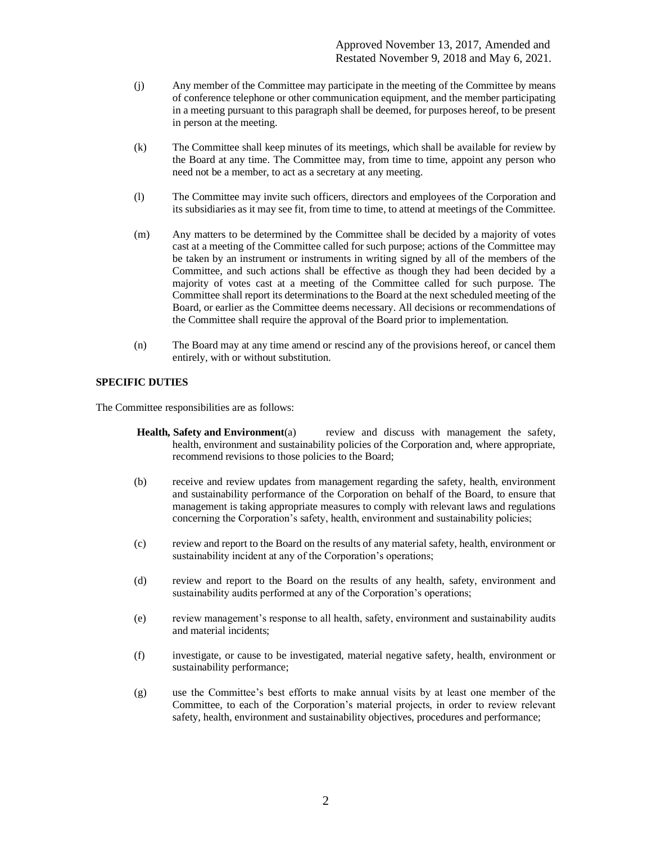Approved November 13, 2017, Amended and Restated November 9, 2018 and May 6, 2021.

- (j) Any member of the Committee may participate in the meeting of the Committee by means of conference telephone or other communication equipment, and the member participating in a meeting pursuant to this paragraph shall be deemed, for purposes hereof, to be present in person at the meeting.
- (k) The Committee shall keep minutes of its meetings, which shall be available for review by the Board at any time. The Committee may, from time to time, appoint any person who need not be a member, to act as a secretary at any meeting.
- (l) The Committee may invite such officers, directors and employees of the Corporation and its subsidiaries as it may see fit, from time to time, to attend at meetings of the Committee.
- (m) Any matters to be determined by the Committee shall be decided by a majority of votes cast at a meeting of the Committee called for such purpose; actions of the Committee may be taken by an instrument or instruments in writing signed by all of the members of the Committee, and such actions shall be effective as though they had been decided by a majority of votes cast at a meeting of the Committee called for such purpose. The Committee shall report its determinations to the Board at the next scheduled meeting of the Board, or earlier as the Committee deems necessary. All decisions or recommendations of the Committee shall require the approval of the Board prior to implementation.
- (n) The Board may at any time amend or rescind any of the provisions hereof, or cancel them entirely, with or without substitution.

### **SPECIFIC DUTIES**

The Committee responsibilities are as follows:

- **Health, Safety and Environment**(a) review and discuss with management the safety, health, environment and sustainability policies of the Corporation and, where appropriate, recommend revisions to those policies to the Board;
- (b) receive and review updates from management regarding the safety, health, environment and sustainability performance of the Corporation on behalf of the Board, to ensure that management is taking appropriate measures to comply with relevant laws and regulations concerning the Corporation's safety, health, environment and sustainability policies;
- (c) review and report to the Board on the results of any material safety, health, environment or sustainability incident at any of the Corporation's operations;
- (d) review and report to the Board on the results of any health, safety, environment and sustainability audits performed at any of the Corporation's operations;
- (e) review management's response to all health, safety, environment and sustainability audits and material incidents;
- (f) investigate, or cause to be investigated, material negative safety, health, environment or sustainability performance;
- (g) use the Committee's best efforts to make annual visits by at least one member of the Committee, to each of the Corporation's material projects, in order to review relevant safety, health, environment and sustainability objectives, procedures and performance;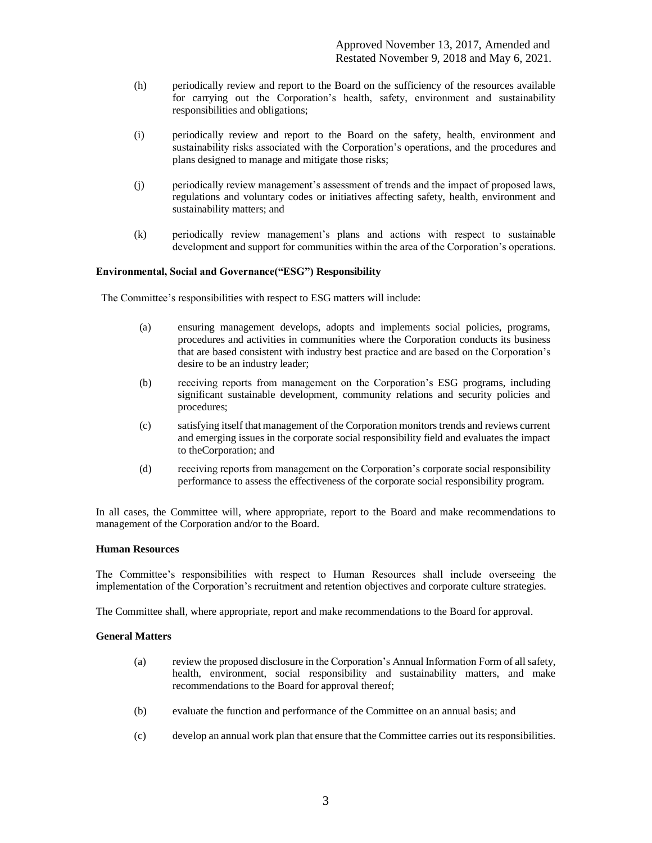- (h) periodically review and report to the Board on the sufficiency of the resources available for carrying out the Corporation's health, safety, environment and sustainability responsibilities and obligations;
- (i) periodically review and report to the Board on the safety, health, environment and sustainability risks associated with the Corporation's operations, and the procedures and plans designed to manage and mitigate those risks;
- (j) periodically review management's assessment of trends and the impact of proposed laws, regulations and voluntary codes or initiatives affecting safety, health, environment and sustainability matters; and
- (k) periodically review management's plans and actions with respect to sustainable development and support for communities within the area of the Corporation's operations.

### **Environmental, Social and Governance("ESG") Responsibility**

The Committee's responsibilities with respect to ESG matters will include:

- (a) ensuring management develops, adopts and implements social policies, programs, procedures and activities in communities where the Corporation conducts its business that are based consistent with industry best practice and are based on the Corporation's desire to be an industry leader;
- (b) receiving reports from management on the Corporation's ESG programs, including significant sustainable development, community relations and security policies and procedures;
- (c) satisfying itself that management of the Corporation monitors trends and reviews current and emerging issues in the corporate social responsibility field and evaluates the impact to theCorporation; and
- (d) receiving reports from management on the Corporation's corporate social responsibility performance to assess the effectiveness of the corporate social responsibility program.

In all cases, the Committee will, where appropriate, report to the Board and make recommendations to management of the Corporation and/or to the Board.

#### **Human Resources**

The Committee's responsibilities with respect to Human Resources shall include overseeing the implementation of the Corporation's recruitment and retention objectives and corporate culture strategies.

The Committee shall, where appropriate, report and make recommendations to the Board for approval.

#### **General Matters**

- (a) review the proposed disclosure in the Corporation's Annual Information Form of all safety, health, environment, social responsibility and sustainability matters, and make recommendations to the Board for approval thereof;
- (b) evaluate the function and performance of the Committee on an annual basis; and
- (c) develop an annual work plan that ensure that the Committee carries out its responsibilities.